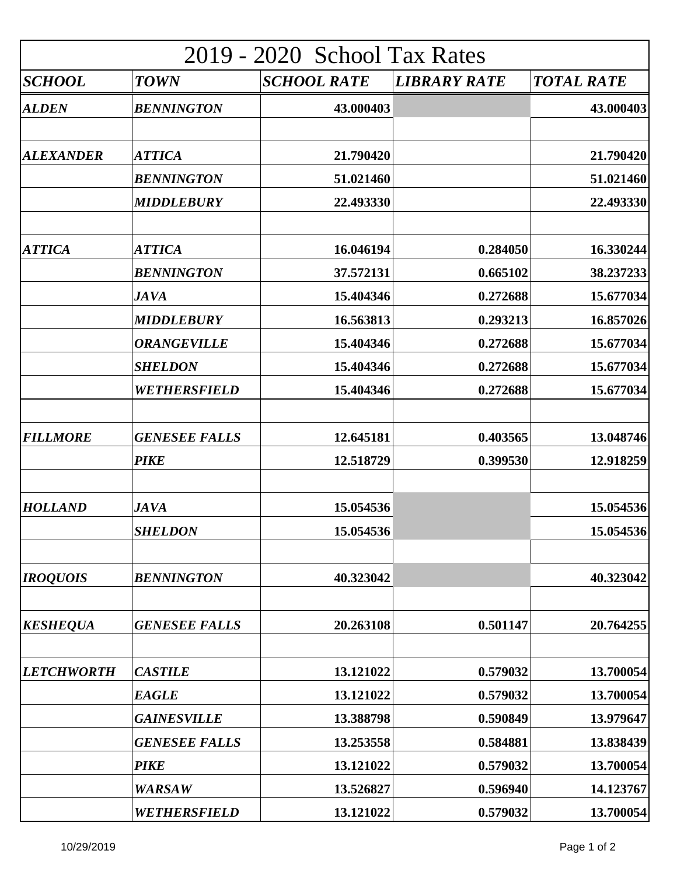| 2019 - 2020 School Tax Rates |                      |                    |                     |                   |  |  |
|------------------------------|----------------------|--------------------|---------------------|-------------------|--|--|
| <b>SCHOOL</b>                | <b>TOWN</b>          | <b>SCHOOL RATE</b> | <b>LIBRARY RATE</b> | <b>TOTAL RATE</b> |  |  |
| <b>ALDEN</b>                 | <b>BENNINGTON</b>    | 43.000403          |                     | 43.000403         |  |  |
| <b>ALEXANDER</b>             | <b>ATTICA</b>        | 21.790420          |                     | 21.790420         |  |  |
|                              | <b>BENNINGTON</b>    | 51.021460          |                     | 51.021460         |  |  |
|                              | <b>MIDDLEBURY</b>    | 22.493330          |                     | 22.493330         |  |  |
| <b>ATTICA</b>                | <b>ATTICA</b>        | 16.046194          | 0.284050            | 16.330244         |  |  |
|                              | <b>BENNINGTON</b>    | 37.572131          | 0.665102            | 38.237233         |  |  |
|                              | <b>JAVA</b>          | 15.404346          | 0.272688            | 15.677034         |  |  |
|                              | <b>MIDDLEBURY</b>    | 16.563813          | 0.293213            | 16.857026         |  |  |
|                              | <b>ORANGEVILLE</b>   | 15.404346          | 0.272688            | 15.677034         |  |  |
|                              | <b>SHELDON</b>       | 15.404346          | 0.272688            | 15.677034         |  |  |
|                              | WETHERSFIELD         | 15.404346          | 0.272688            | 15.677034         |  |  |
| <b>FILLMORE</b>              | <b>GENESEE FALLS</b> | 12.645181          | 0.403565            | 13.048746         |  |  |
|                              | <b>PIKE</b>          | 12.518729          | 0.399530            | 12.918259         |  |  |
| <b>HOLLAND</b>               | <b>JAVA</b>          | 15.054536          |                     | 15.054536         |  |  |
|                              | <b>SHELDON</b>       | 15.054536          |                     | 15.054536         |  |  |
| <b>IROQUOIS</b>              | <b>BENNINGTON</b>    | 40.323042          |                     | 40.323042         |  |  |
| <b>KESHEQUA</b>              | <b>GENESEE FALLS</b> | 20.263108          | 0.501147            | 20.764255         |  |  |
| <b>LETCHWORTH</b>            | <b>CASTILE</b>       | 13.121022          | 0.579032            | 13.700054         |  |  |
|                              | <b>EAGLE</b>         | 13.121022          | 0.579032            | 13.700054         |  |  |
|                              | <b>GAINESVILLE</b>   | 13.388798          | 0.590849            | 13.979647         |  |  |
|                              | <b>GENESEE FALLS</b> | 13.253558          | 0.584881            | 13.838439         |  |  |
|                              | <b>PIKE</b>          | 13.121022          | 0.579032            | 13.700054         |  |  |
|                              | <b>WARSAW</b>        | 13.526827          | 0.596940            | 14.123767         |  |  |
|                              | WETHERSFIELD         | 13.121022          | 0.579032            | 13.700054         |  |  |